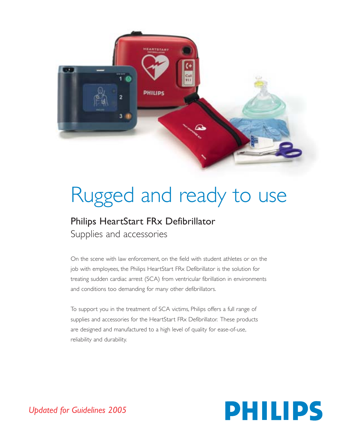

# Rugged and ready to use

# Philips HeartStart FRx Defibrillator Supplies and accessories

On the scene with law enforcement, on the field with student athletes or on the job with employees, the Philips HeartStart FRx Defibrillator is the solution for treating sudden cardiac arrest (SCA) from ventricular fibrillation in environments and conditions too demanding for many other defibrillators.

To support you in the treatment of SCA victims, Philips offers a full range of supplies and accessories for the HeartStart FRx Defibrillator. These products are designed and manufactured to a high level of quality for ease-of-use, reliability and durability.



*Updated for Guidelines 2005*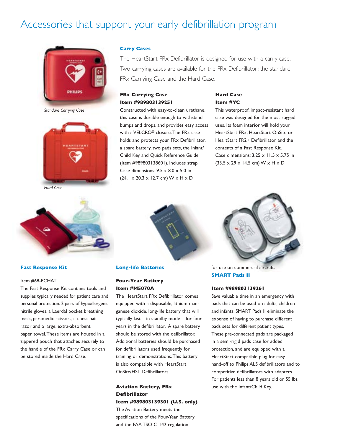# Accessories that support your early defibrillation program



*Standard Carrying Case*



*Hard Case*

#### **Carry Cases**

The HeartStart FRx Defibrillator is designed for use with a carry case. Two carrying cases are available for the FRx Defibrillator: the standard FRx Carrying Case and the Hard Case.

# **FRx Carrying Case Item #989803139251**

Constructed with easy-to-clean urethane, this case is durable enough to withstand bumps and drops, and provides easy access with a VELCRO® closure.The FRx case holds and protects your FRx Defibrillator, a spare battery, two pads sets, the Infant/ Child Key and Quick Reference Guide (Item #989803138601). Includes strap. Case dimensions:  $9.5 \times 8.0 \times 5.0$  in (24.1 x 20.3 x 12.7 cm) W x H x D

# **Hard Case Item #YC**

This waterproof, impact-resistant hard case was designed for the most rugged uses. Its foam interior will hold your HeartStart FRx, HeartStart OnSite or HeartStart FR2+ Defibrillator and the contents of a Fast Response Kit. Case dimensions:  $3.25 \times 11.5 \times 5.75$  in (33.5 x 29 x 14.5 cm) W x H x D



#### **Fast Response Kit**

#### Item #68-PCHAT

The Fast Response Kit contains tools and supplies typically needed for patient care and personal protection: 2 pairs of hypoallergenic nitrile gloves, a Laerdal pocket breathing mask, paramedic scissors, a chest hair razor and a large, extra-absorbent paper towel.These items are housed in a zippered pouch that attaches securely to the handle of the FRx Carry Case or can be stored inside the Hard Case.



#### **Long-life Batteries**

# **Four-Year Battery Item #M5070A**

The HeartStart FRx Defibrillator comes equipped with a disposable, lithium manganese dioxide, long-life battery that will typically last – in standby mode – for four years in the defibrillator. A spare battery should be stored with the defibrillator. Additional batteries should be purchased for defibrillators used frequently for training or demonstrations.This battery is also compatible with HeartStart OnSite/HS1 Defibrillators.

# **Aviation Battery, FRx Defibrillator Item #989803139301 (U.S. only)**

The Aviation Battery meets the specifications of the Four-Year Battery and the FAA TSO C-142 regulation



for use on commercial aircraft. **SMART Pads II**

#### **Item #989803139261**

Save valuable time in an emergency with pads that can be used on adults, children and infants. SMART Pads II eliminate the expense of having to purchase different pads sets for different patient types. These pre-connected pads are packaged in a semi-rigid pads case for added protection, and are equipped with a HeartStart-compatible plug for easy hand-off to Philips ALS defibrillators and to competitive defibrillators with adapters. For patients less than 8 years old or 55 lbs., use with the Infant/Child Key.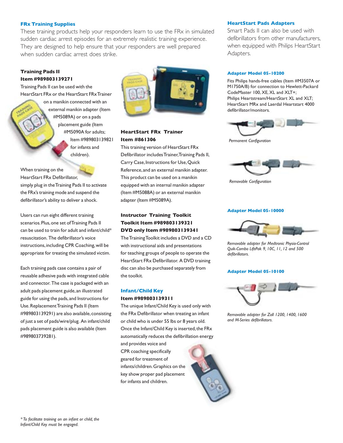# **FRx Training Supplies**

These training products help your responders learn to use the FRx in simulated sudden cardiac arrest episodes for an extremely realistic training experience. They are designed to help ensure that your responders are well prepared when sudden cardiac arrest does strike.

# **Training Pads II Item #989803139271**

Training Pads II can be used with the HeartStart FRx or the HeartStart FRx Trainer

> on a manikin connected with an external manikin adapter (Item #M5089A) or on a pads placement guide (Item #M5090A for adults; Item #989803139821 for infants and children).

When training on the HeartStart FRx Defibrillator, simply plug in the Training Pads II to activate the FRx's training mode and suspend the defibrillator's ability to deliver a shock.

Users can run eight different training scenarios. Plus, one set of Training Pads II can be used to train for adult and infant/child\* resuscitation. The defibrillator's voice instructions,including CPR Coaching,will be appropriate for treating the simulated victim.

Each training pads case contains a pair of reusable adhesive pads with integrated cable and connector. The case is packaged with an adult pads placement guide,an illustrated guide for using the pads,and Instructions for Use.Replacement Training Pads II (Item #989803139291) are also available, consisting of just a set of pads/wire/plug. An infant/child pads placement guide is also available (Item #989803739281).



# **HeartStart FRx Trainer Item #861306**

This training version of HeartStart FRx Defibrillator includes Trainer,Training Pads II, Carry Case, Instructions for Use, Quick Reference,and an external manikin adapter. This product can be used on a manikin equipped with an internal manikin adapter (Item #M5088A) or an external manikin adapter (Item #M5089A).

# **Instructor Training Toolkit Toolkit Item #989803139321 DVD only Item #989803139341**

The Training Toolkit includes a DVD and a CD with instructional aids and presentations for teaching groups of people to operate the HeartStart FRx Defibrillator. A DVD training disc can also be purchased separately from the toolkit.

# **Infant/Child Key Item #989803139311**

The unique Infant/Child Key is used only with the FRx Defibrillator when treating an infant or child who is under 55 lbs or 8 years old. Once the Infant/Child Key is inserted, the FRx automatically reduces the defibrillation energy

and provides voice and CPR coaching specifically geared for treatment of infants/children.Graphics on the key show proper pad placement for infants and children.

#### **HeartStart Pads Adapters**

Smart Pads II can also be used with defibrillators from other manufacturers, when equipped with Philips HeartStart Adapters.

#### **Adapter Model 05-10200**

Fits Philips hands-free cables (Item #M3507A or M1750A/B) for connection to Hewlett-Packard CodeMaster 100, XE, XL and XLT+; Philips Heartstream/HeartStart XL and XLT; HeartStart MRx and Laerdal Heartstart 4000 defibrillator/monitors.



*Permanent Configuration*



*Removable Configuration*

#### **Adapter Model 05-10000**



*Removable adapter for Medtronic Physio-Control Quik-Combo LifePak 9, 10C, 11, 12 and 500 defibrillators.*

#### **Adapter Model 05-10100**



*Removable adapter for Zoll 1200, 1400, 1600 and M-Series defibrillators.*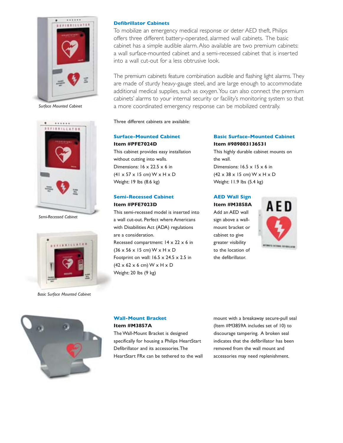

*Surface Mounted Cabinet*



*Semi-Recessed Cabinet*



*Basic Surface Mounted Cabinet*

#### **Defibrillator Cabinets**

To mobilize an emergency medical response or deter AED theft, Philips offers three different battery-operated, alarmed wall cabinets. The basic cabinet has a simple audible alarm. Also available are two premium cabinets: a wall surface-mounted cabinet and a semi-recessed cabinet that is inserted into a wall cut-out for a less obtrusive look.

The premium cabinets feature combination audible and flashing light alarms. They are made of sturdy heavy-gauge steel, and are large enough to accommodate additional medical supplies, such as oxygen.You can also connect the premium cabinets' alarms to your internal security or facility's monitoring system so that a more coordinated emergency response can be mobilized centrally.

Three different cabinets are available:

# **Surface-Mounted Cabinet**

**Item #PFE7024D** This cabinet provides easy installation without cutting into walls. Dimensions:  $16 \times 22.5 \times 6$  in  $(41 \times 57 \times 15 \text{ cm})$  W  $\times$  H  $\times$  D Weight: 19 lbs (8.6 kg)

# **Semi-Recessed Cabinet Item #PFE7023D**

This semi-recessed model is inserted into a wall cut-out. Perfect where Americans with Disabilities Act (ADA) regulations are a consideration. Recessed compartment: 14 x 22 x 6 in (36 x 56 x 15 cm) W x H x D Footprint on wall:  $16.5 \times 24.5 \times 2.5$  in  $(42 \times 62 \times 6$  cm) W  $\times$  H  $\times$  D Weight: 20 lbs (9 kg)

# **Basic Surface-Mounted Cabinet Item #989803136531**

This highly durable cabinet mounts on the wall. Dimensions:  $16.5 \times 15 \times 6$  in  $(42 \times 38 \times 15$  cm) W  $\times$  H  $\times$  D Weight: 11.9 lbs (5.4 kg)

# **AED Wall Sign**

# **Item #M3858A**

Add an AED wall sign above a wallmount bracket or cabinet to give greater visibility to the location of the defibrillator.





# **Wall-Mount Bracket Item #M3857A**

The Wall-Mount Bracket is designed specifically for housing a Philips HeartStart Defibrillator and its accessories.The HeartStart FRx can be tethered to the wall

mount with a breakaway secure-pull seal (Item #M3859A includes set of 10) to discourage tampering. A broken seal indicates that the defibrillator has been removed from the wall mount and accessories may need replenishment.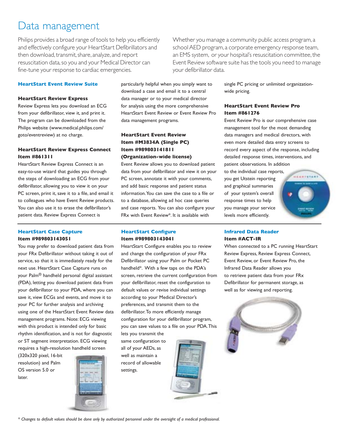# Data management

Philips provides a broad range of tools to help you efficiently and effectively configure your HeartStart Defibrillators and then download, transmit, share, analyze, and report resuscitation data,so you and your Medical Director can fine-tune your response to cardiac emergencies.

# **HeartStart Event Review Suite**

#### **HeartStart Review Express**

Review Express lets you download an ECG from your defibrillator, view it, and print it. The program can be downloaded from the Philips website (www.medical.philips.com/ goto/eventreview) at no charge.

# **HeartStart Review Express Connect Item #861311**

HeartStart Review Express Connect is an easy-to-use wizard that guides you through the steps of downloading an ECG from your defibrillator, allowing you to view it on your PC screen, print it, save it to a file, and email it to colleagues who have Event Review products. You can also use it to erase the defibrillator's patient data. Review Express Connect is

#### **HeartStart Case Capture Item #989803143051**

You may prefer to download patient data from your FRx Defibrillator without taking it out of service, so that it is immediately ready for the next use. HeartStart Case Capture runs on your Palm® handheld personal digital assistant (PDA), letting you download patient data from your defibrillator to your PDA, where you can save it, view ECGs and events, and move it to your PC for further analysis and archiving using one of the HeartStart Event Review data management programs. Note: ECG viewing with this product is intended only for basic rhythm identification, and is not for diagnostic or ST segment interpretation. ECG viewing requires a high-resolution handheld screen

(320x320 pixel, 16-bit resolution) and Palm OS version 5.0 or later.



particularly helpful when you simply want to download a case and email it to a central data manager or to your medical director for analysis using the more comprehensive HeartStart Event Review or Event Review Pro data management programs.

# **HeartStart Event Review Item #M3834A (Single PC) Item #989803141811 (Organization-wide license)**

Event Review allows you to download patient data from your defibrillator and view it on your PC screen, annotate it with your comments, and add basic response and patient status information.You can save the case to a file or to a database, allowing ad hoc case queries and case reports. You can also configure your FRx with Event Review\*. It is available with

## **HeartStart Configure Item #989803143041**

HeartStart Configure enables you to review and change the configuration of your FRx Defibrillator using your Palm or Pocket PC handheld\*. With a few taps on the PDA's screen, retrieve the current configuration from your defibrillator, reset the configuration to default values or revise individual settings according to your Medical Director's preferences, and transmit them to the defibrillator.To more efficiently manage configuration for your defibrillator program, you can save values to a file on your PDA.This

lets you transmit the same configuration to all of your AEDs, as well as maintain a record of allowable settings.



*\* Changes to default values should be done only by authorized personnel under the oversight of a medical professional.*

Whether you manage a community public access program, a school AED program, a corporate emergency response team, an EMS system, or your hospital's resuscitation committee, the Event Review software suite has the tools you need to manage your defibrillator data.

> single PC pricing or unlimited organizationwide pricing.

# **HeartStart Event Review Pro Item #861276**

Event Review Pro is our comprehensive case management tool for the most demanding data managers and medical directors, with even more detailed data entry screens to record every aspect of the response, including detailed response times, interventions, and patient observations. In addition

to the individual case reports, you get Utstein reporting and graphical summaries of your system's overall response times to help you manage your service levels more efficiently.



# **Infrared Data Reader Item #ACT-IR**

When connected to a PC running HeartStart Review Express, Review Express Connect, Event Review, or Event Review Pro, the Infrared Data Reader allows you to retrieve patient data from your FRx Defibrillator for permanent storage, as well as for viewing and reporting.